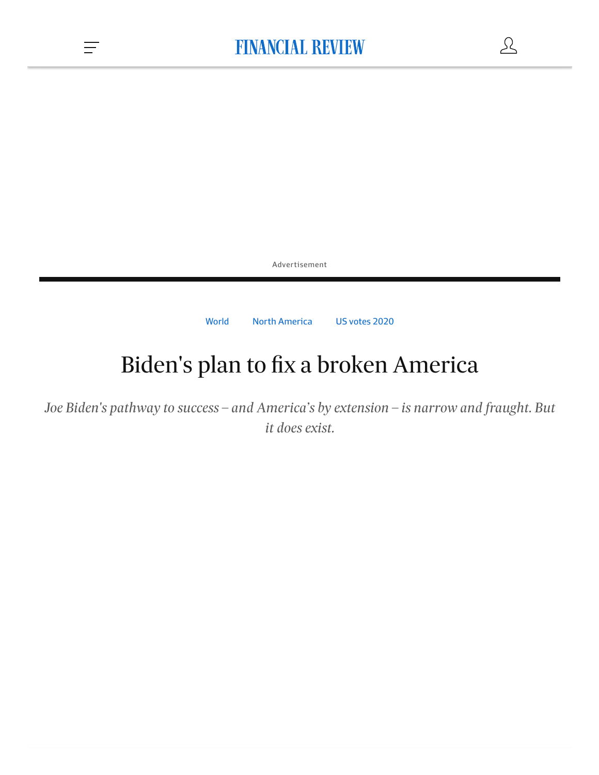$\mathcal{L}$ 

Advertisement

[World](https://www.afr.com/world) North [America](https://www.afr.com/world/north-america) US [votes](https://www.afr.com/topic/us-votes-2020-1mkz) 2020

# Biden's plan to fix a broken America

*Joe Biden's pathway to success – and America's by extension – is narrow and fraught. But it does exist.*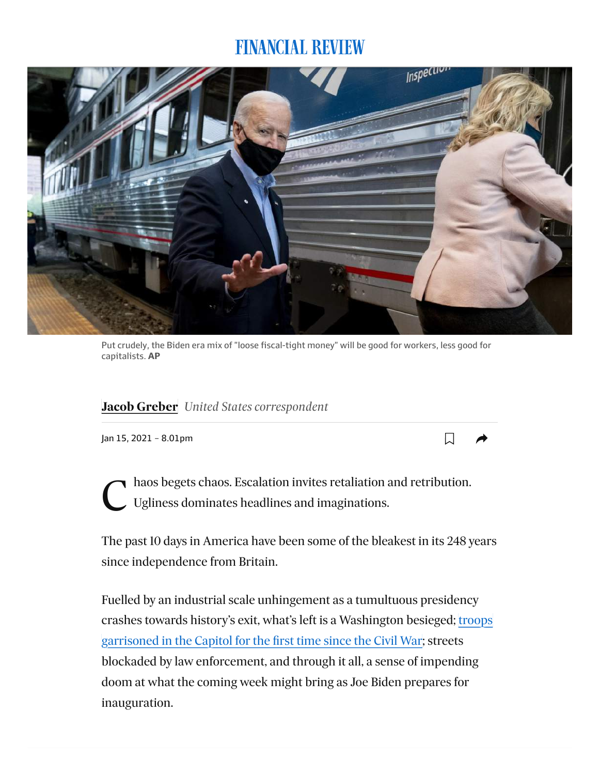

Put crudely, the Biden era mix of "loose fiscal-tight money" will be good for workers, less good for capitalists. **AP**

### **[JJacob Greber](https://www.afr.com/by/jacob-greber-j7gbu)** *United States correspondent*

Jan 15, 2021 – 8.01pm

C haos begets chaos. Escalation invites retaliation and retribution.<br>Ugliness dominates headlines and imaginations. Ugliness dominates headlines and imaginations.

 $\Box$ 

The past 10 days in America have been some of the bleakest in its 248 years since independence from Britain.

Fuelled by an industrial scale unhingement as a tumultuous presidency [crashes towards history's exit, what's left is a Washington besieged; troops](https://www.afr.com/link/follow-20180101-p56ug6) garrisoned in the Capitol for the first time since the Civil War; streets blockaded by law enforcement, and through it all, a sense of impending doom at what the coming week might bring as Joe Biden prepares for inauguration.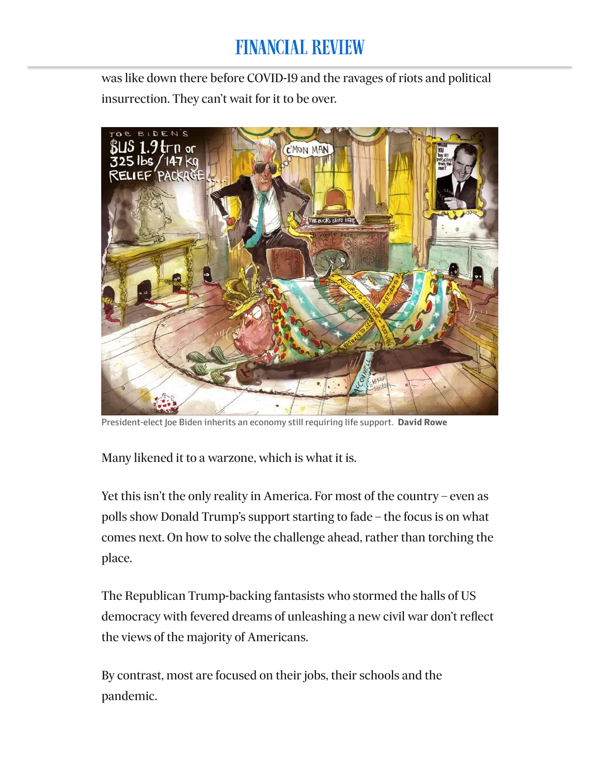### FINANCIAL REVIEW me it's a resolution bleak place. They're struggling to remember when life to remember when  $\mathcal{L}_1$

was like down there before COVID-19 and the ravages of riots and political insurrection. They can't wait for it to be over.



President-elect Joe Biden inherits an economy still requiring life support. **David Rowe**

Many likened it to a warzone, which is what it is.

Yet this isn't the only reality in America. For most of the country – even as polls show Donald Trump's support starting to fade – the focus is on what comes next. On how to solve the challenge ahead, rather than torching the place.

The Republican Trump-backing fantasists who stormed the halls of US democracy with fevered dreams of unleashing a new civil war don't reflect the views of the majority of Americans.

By contrast, most are focused on their jobs, their schools and the pandemic.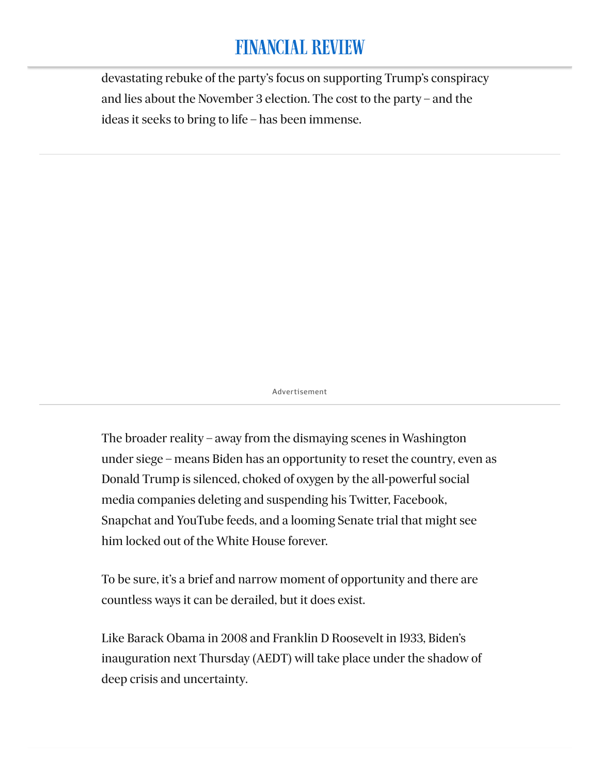#### **FINANCIAL REVIEW**  $\mathcal{L}$  en lier von Aerlier this month, when  $\mathcal{L}$

devastating rebuke of the party's focus on supporting Trump's conspiracy and lies about the November 3 election. The cost to the party – and the ideas it seeks to bring to life – has been immense.

Advertisement

The broader reality – away from the dismaying scenes in Washington under siege – means Biden has an opportunity to reset the country, even as Donald Trump is silenced, choked of oxygen by the all-powerful social media companies deleting and suspending his Twitter, Facebook, Snapchat and YouTube feeds, and a looming Senate trial that might see him locked out of the White House forever.

To be sure, it's a brief and narrow moment of opportunity and there are countless ways it can be derailed, but it does exist.

Like Barack Obama in 2008 and Franklin D Roosevelt in 1933, Biden's inauguration next Thursday (AEDT) will take place under the shadow of deep crisis and uncertainty.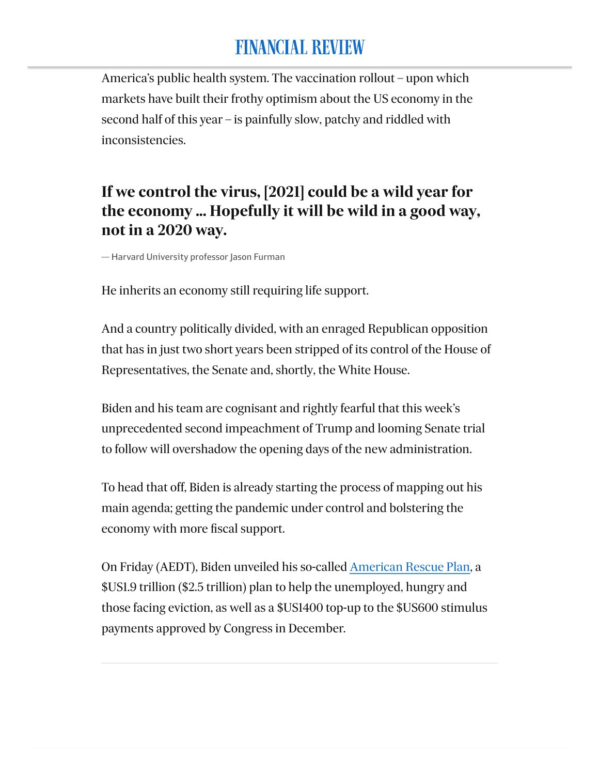### **FINANCIAL REVIEW** They include how COVID-19 has exposed the disastrous failures of

America's public health system. The vaccination rollout – upon which markets have built their frothy optimism about the US economy in the second half of this year – is painfully slow, patchy and riddled with inconsistencies.

### **If we control the virus, [2021] could be a wild year for the economy ... Hopefully it will be wild in a good way, not in a 2020 way.**

— Harvard University professor Jason Furman

He inherits an economy still requiring life support.

And a country politically divided, with an enraged Republican opposition that has in just two short years been stripped of its control of the House of Representatives, the Senate and, shortly, the White House.

Biden and his team are cognisant and rightly fearful that this week's unprecedented second impeachment of Trump and looming Senate trial to follow will overshadow the opening days of the new administration.

To head that off, Biden is already starting the process of mapping out his main agenda; getting the pandemic under control and bolstering the economy with more fiscal support.

On Friday (AEDT), Biden unveiled his so-called [American Rescue Plan,](https://www.afr.com/link/follow-20180101-p56ueu) a \$US1.9 trillion (\$2.5 trillion) plan to help the unemployed, hungry and those facing eviction, as well as a \$US1400 top-up to the \$US600 stimulus payments approved by Congress in December.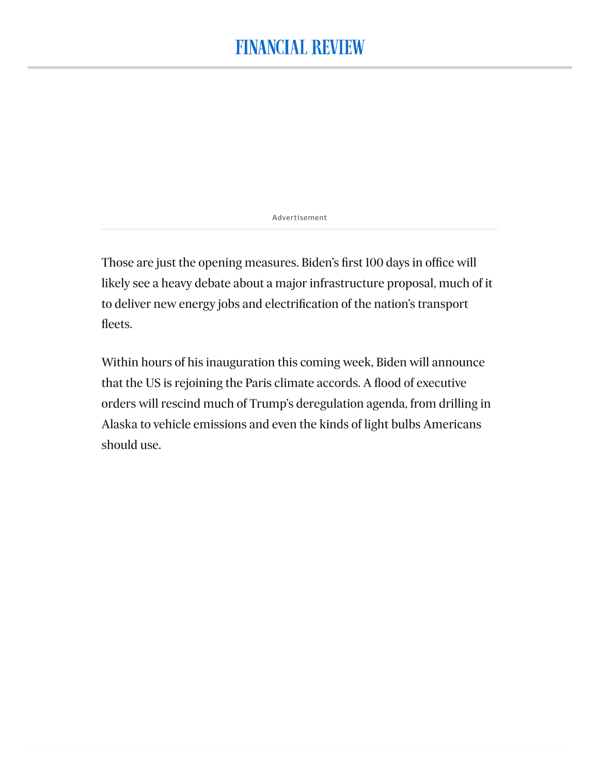Advertisement

Those are just the opening measures. Biden's first 100 days in office will likely see a heavy debate about a major infrastructure proposal, much of it to deliver new energy jobs and electrification of the nation's transport fleets.

Within hours of his inauguration this coming week, Biden will announce that the US is rejoining the Paris climate accords. A flood of executive orders will rescind much of Trump's deregulation agenda, from drilling in Alaska to vehicle emissions and even the kinds of light bulbs Americans should use.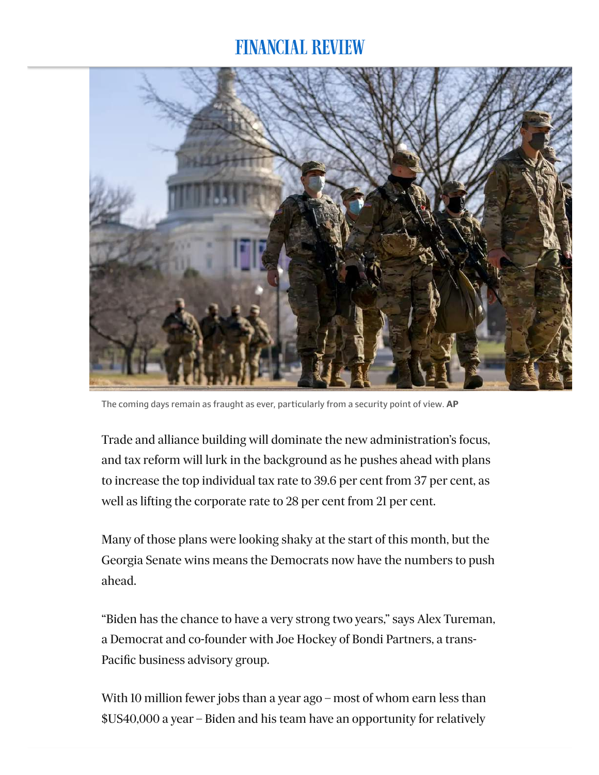

The coming days remain as fraught as ever, particularly from a security point of view. **AP**

Trade and alliance building will dominate the new administration's focus, and tax reform will lurk in the background as he pushes ahead with plans to increase the top individual tax rate to 39.6 per cent from 37 per cent, as well as lifting the corporate rate to 28 per cent from 21 per cent.

Many of those plans were looking shaky at the start of this month, but the Georgia Senate wins means the Democrats now have the numbers to push ahead.

"Biden has the chance to have a very strong two years," says Alex Tureman, a Democrat and co-founder with Joe Hockey of Bondi Partners, a trans-Pacific business advisory group.

With 10 million fewer jobs than a year ago – most of whom earn less than \$US40,000 a year – Biden and his team have an opportunity for relatively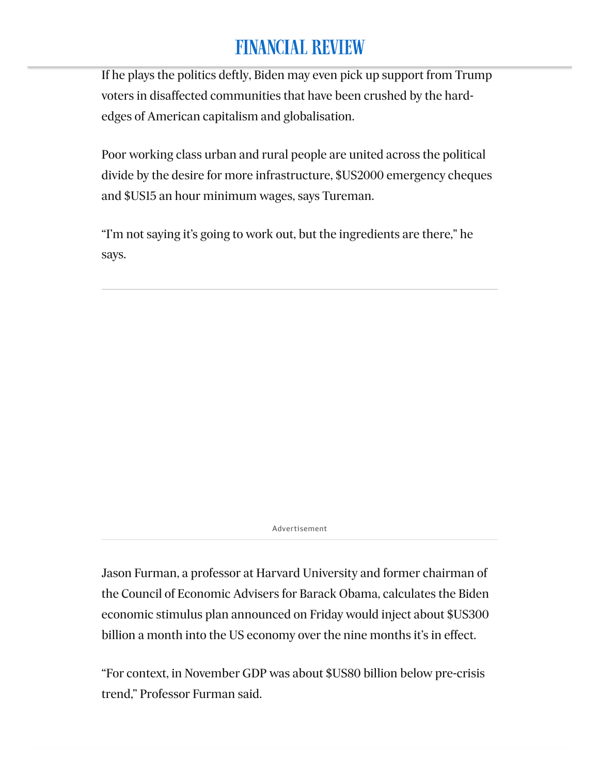If he plays the politics deftly, Biden may even pick up support from Trump voters in disaffected communities that have been crushed by the hardedges of American capitalism and globalisation.

Poor working class urban and rural people are united across the political divide by the desire for more infrastructure, \$US2000 emergency cheques and \$US15 an hour minimum wages, says Tureman.

"I'm not saying it's going to work out, but the ingredients are there," he says.

Advertisement

Jason Furman, a professor at Harvard University and former chairman of the Council of Economic Advisers for Barack Obama, calculates the Biden economic stimulus plan announced on Friday would inject about \$US300 billion a month into the US economy over the nine months it's in effect.

"For context, in November GDP was about \$US80 billion below pre-crisis trend," Professor Furman said.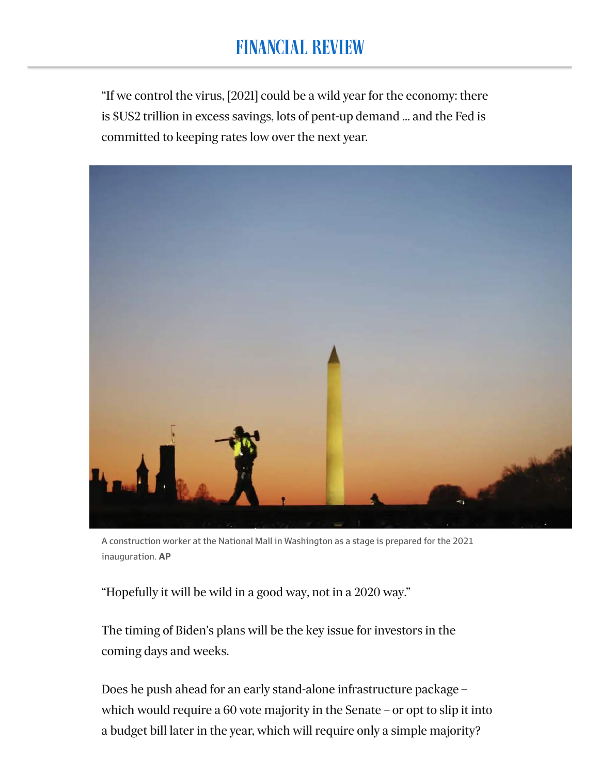### FINANCIAL REVIEW undertaken to an economic crisis. The crisis of the conomic crisis of the crisis of the crisis of the crisis o

"If we control the virus, [2021] could be a wild year for the economy: there is \$US2 trillion in excess savings, lots of pent-up demand … and the Fed is committed to keeping rates low over the next year.



A construction worker at the National Mall in Washington as a stage is prepared for the 2021 inauguration. **AP**

"Hopefully it will be wild in a good way, not in a 2020 way."

The timing of Biden's plans will be the key issue for investors in the coming days and weeks.

Does he push ahead for an early stand-alone infrastructure package – which would require a 60 vote majority in the Senate – or opt to slip it into a budget bill later in the year, which will require only a simple majority?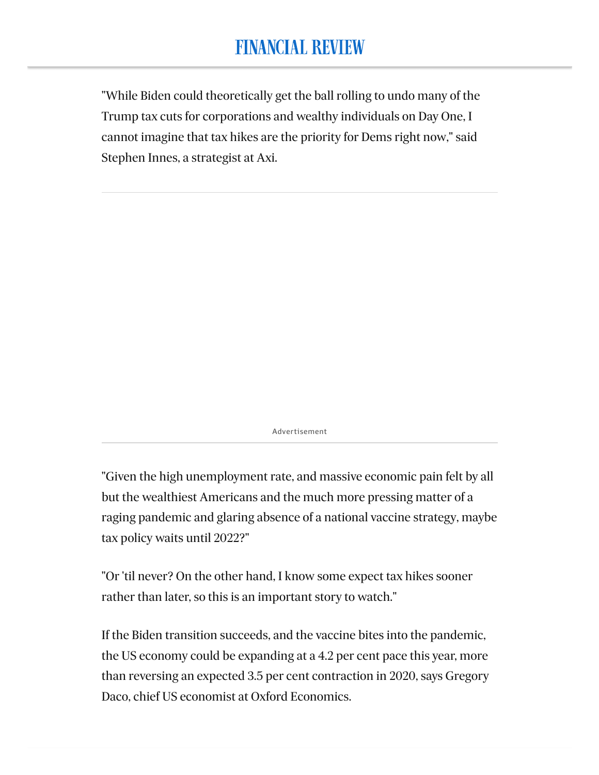#### FINANCIAL REVIEW one of the biggest forseeable risks of 2021.

"While Biden could theoretically get the ball rolling to undo many of the Trump tax cuts for corporations and wealthy individuals on Day One, I cannot imagine that tax hikes are the priority for Dems right now," said Stephen Innes, a strategist at Axi.

Advertisement

"Given the high unemployment rate, and massive economic pain felt by all but the wealthiest Americans and the much more pressing matter of a raging pandemic and glaring absence of a national vaccine strategy, maybe tax policy waits until 2022?"

"Or 'til never? On the other hand, I know some expect tax hikes sooner rather than later, so this is an important story to watch."

If the Biden transition succeeds, and the vaccine bites into the pandemic, the US economy could be expanding at a 4.2 per cent pace this year, more than reversing an expected 3.5 per cent contraction in 2020, says Gregory Daco, chief US economist at Oxford Economics.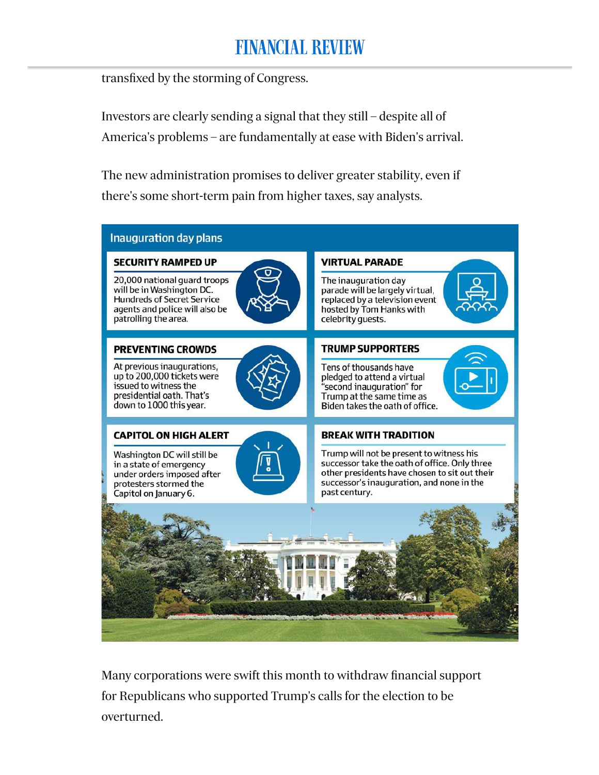### **FINANCIAL REVIEW** days has belied the doom-and-gloom assessments of many commentators

transfixed by the storming of Congress.

Investors are clearly sending a signal that they still – despite all of America's problems – are fundamentally at ease with Biden's arrival.

The new administration promises to deliver greater stability, even if there's some short-term pain from higher taxes, say analysts.



Many corporations were swift this month to withdraw financial support for Republicans who supported Trump's calls for the election to be overturned.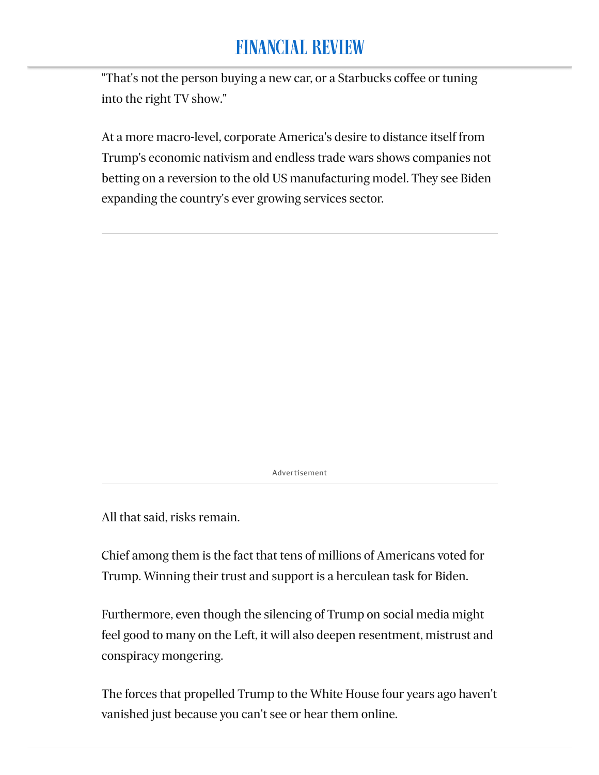### FINANCIAL REVIEW disaffected voter who doesn't believe in the election result", says Tureman.

"That's not the person buying a new car, or a Starbucks coffee or tuning into the right TV show."

At a more macro-level, corporate America's desire to distance itself from Trump's economic nativism and endless trade wars shows companies not betting on a reversion to the old US manufacturing model. They see Biden expanding the country's ever growing services sector.

Advertisement

All that said, risks remain.

Chief among them is the fact that tens of millions of Americans voted for Trump. Winning their trust and support is a herculean task for Biden.

Furthermore, even though the silencing of Trump on social media might feel good to many on the Left, it will also deepen resentment, mistrust and conspiracy mongering.

The forces that propelled Trump to the White House four years ago haven't vanished just because you can't see or hear them online.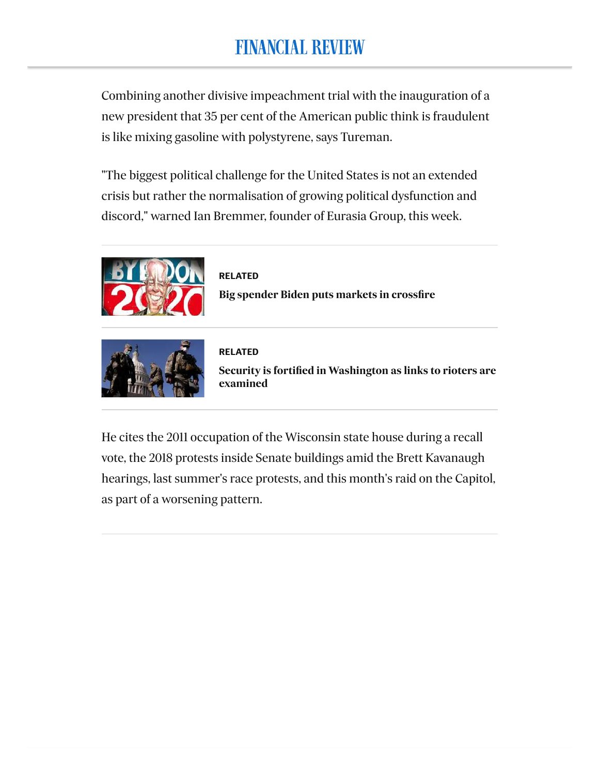Combining another divisive impeachment trial with the inauguration of a new president that 35 per cent of the American public think is fraudulent is like mixing gasoline with polystyrene, says Tureman.

"The biggest political challenge for the United States is not an extended crisis but rather the normalisation of growing political dysfunction and discord," warned Ian Bremmer, founder of Eurasia Group, this week.



**RELATED [Big spender Biden puts markets in crossfire](https://www.afr.com/markets/equity-markets/big-spender-biden-puts-markets-in-crossfire-20210111-p56t32)**



**RELATED [Security is fortified in Washington as links to rioters are](https://www.afr.com/world/north-america/security-is-fortified-in-washington-as-links-to-rioters-are-examined-20210115-p56ug6) examined** 

He cites the 2011 occupation of the Wisconsin state house during a recall vote, the 2018 protests inside Senate buildings amid the Brett Kavanaugh hearings, last summer's race protests, and this month's raid on the Capitol, as part of a worsening pattern.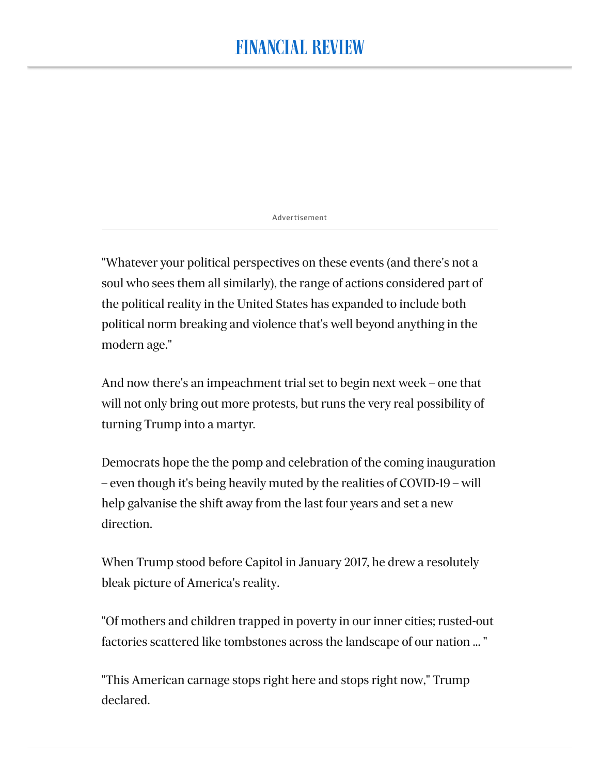Advertisement

"Whatever your political perspectives on these events (and there's not a soul who sees them all similarly), the range of actions considered part of the political reality in the United States has expanded to include both political norm breaking and violence that's well beyond anything in the modern age."

And now there's an impeachment trial set to begin next week – one that will not only bring out more protests, but runs the very real possibility of turning Trump into a martyr.

Democrats hope the the pomp and celebration of the coming inauguration – even though it's being heavily muted by the realities of COVID-19 – will help galvanise the shift away from the last four years and set a new direction.

When Trump stood before Capitol in January 2017, he drew a resolutely bleak picture of America's reality.

"Of mothers and children trapped in poverty in our inner cities; rusted-out factories scattered like tombstones across the landscape of our nation ... "

"This American carnage stops right here and stops right now," Trump declared.